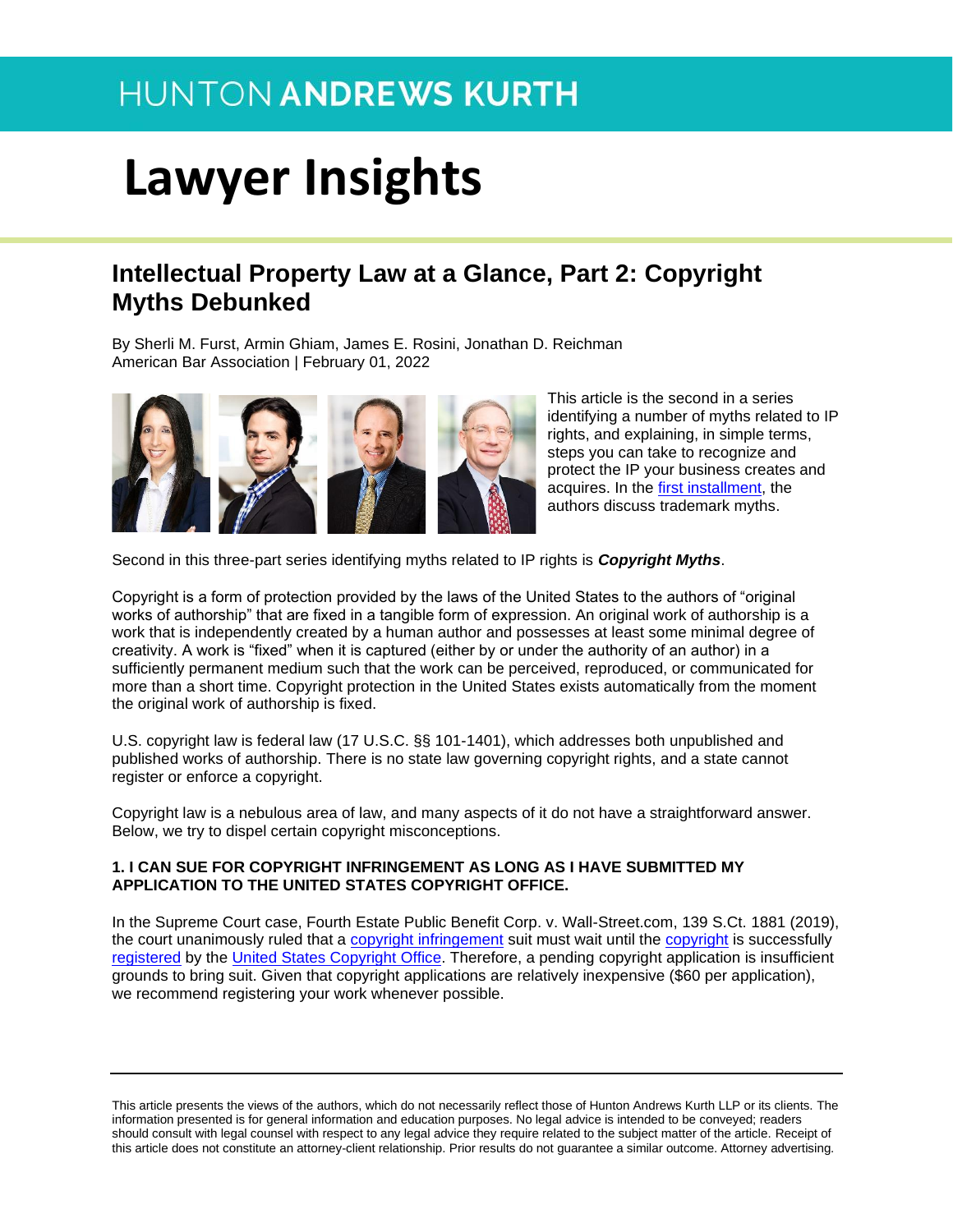# **Lawyer Insights**

### **Intellectual Property Law at a Glance, Part 2: Copyright Myths Debunked**

By Sherli M. Furst, Armin Ghiam, James E. Rosini, Jonathan D. Reichman American Bar Association | February 01, 2022



This article is the second in a series identifying a number of myths related to IP rights, and explaining, in simple terms, steps you can take to recognize and protect the IP your business creates and acquires. In the [first installment,](https://businesslawtoday.org/2022/01/trademark-myths-debunked-intellectual-property-law-at-a-glance/) the authors discuss trademark myths.

Second in this three-part series identifying myths related to IP rights is *Copyright Myths*.

Copyright is a form of protection provided by the laws of the United States to the authors of "original works of authorship" that are fixed in a tangible form of expression. An original work of authorship is a work that is independently created by a human author and possesses at least some minimal degree of creativity. A work is "fixed" when it is captured (either by or under the authority of an author) in a sufficiently permanent medium such that the work can be perceived, reproduced, or communicated for more than a short time. Copyright protection in the United States exists automatically from the moment the original work of authorship is fixed.

U.S. copyright law is federal law (17 U.S.C. §§ 101-1401), which addresses both unpublished and published works of authorship. There is no state law governing copyright rights, and a state cannot register or enforce a copyright.

Copyright law is a nebulous area of law, and many aspects of it do not have a straightforward answer. Below, we try to dispel certain copyright misconceptions.

#### **1. I CAN SUE FOR COPYRIGHT INFRINGEMENT AS LONG AS I HAVE SUBMITTED MY APPLICATION TO THE UNITED STATES COPYRIGHT OFFICE.**

In the Supreme Court case, Fourth Estate Public Benefit Corp. v. Wall-Street.com, 139 S.Ct. 1881 (2019), the court unanimously ruled that a [copyright infringement](https://en.wikipedia.org/wiki/Copyright_infringement) suit must wait until the [copyright](https://en.wikipedia.org/wiki/Copyright) is successfully [registered](https://en.wikipedia.org/wiki/Copyright_registration) by the [United States Copyright Office.](https://en.wikipedia.org/wiki/United_States_Copyright_Office) Therefore, a pending copyright application is insufficient grounds to bring suit. Given that copyright applications are relatively inexpensive (\$60 per application), we recommend registering your work whenever possible.

This article presents the views of the authors, which do not necessarily reflect those of Hunton Andrews Kurth LLP or its clients. The information presented is for general information and education purposes. No legal advice is intended to be conveyed; readers should consult with legal counsel with respect to any legal advice they require related to the subject matter of the article. Receipt of this article does not constitute an attorney-client relationship. Prior results do not guarantee a similar outcome. Attorney advertising.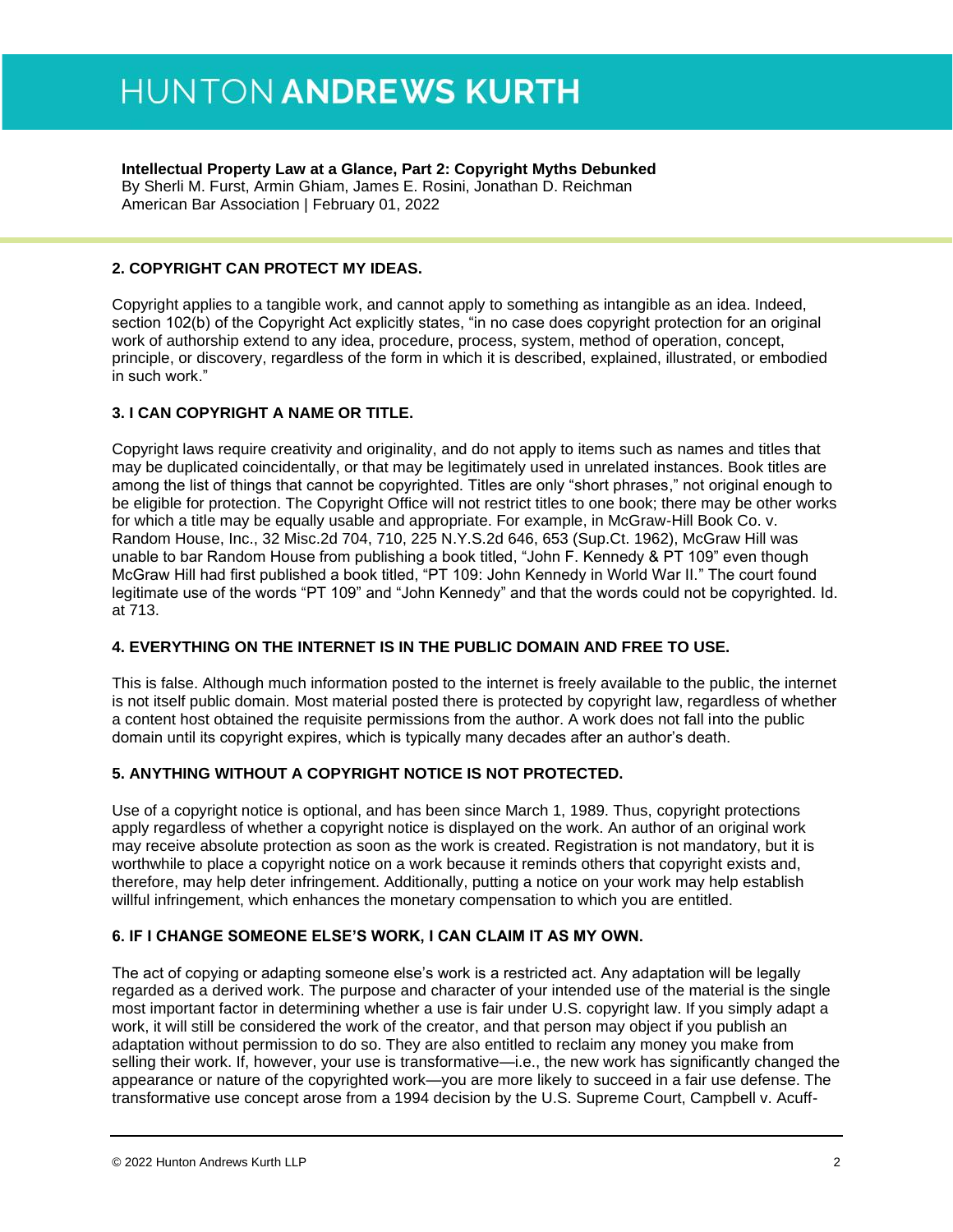#### **Intellectual Property Law at a Glance, Part 2: Copyright Myths Debunked**

By Sherli M. Furst, Armin Ghiam, James E. Rosini, Jonathan D. Reichman American Bar Association | February 01, 2022

#### **2. COPYRIGHT CAN PROTECT MY IDEAS.**

Copyright applies to a tangible work, and cannot apply to something as intangible as an idea. Indeed, section 102(b) of the Copyright Act explicitly states, "in no case does copyright protection for an original work of authorship extend to any idea, procedure, process, system, method of operation, concept, principle, or discovery, regardless of the form in which it is described, explained, illustrated, or embodied in such work."

#### **3. I CAN COPYRIGHT A NAME OR TITLE.**

Copyright laws require creativity and originality, and do not apply to items such as names and titles that may be duplicated coincidentally, or that may be legitimately used in unrelated instances. Book titles are among the list of things that cannot be copyrighted. Titles are only "short phrases," not original enough to be eligible for protection. The Copyright Office will not restrict titles to one book; there may be other works for which a title may be equally usable and appropriate. For example, in McGraw-Hill Book Co. v. Random House, Inc., 32 Misc.2d 704, 710, 225 N.Y.S.2d 646, 653 (Sup.Ct. 1962), McGraw Hill was unable to bar Random House from publishing a book titled, "John F. Kennedy & PT 109" even though McGraw Hill had first published a book titled, "PT 109: John Kennedy in World War II." The court found legitimate use of the words "PT 109" and "John Kennedy" and that the words could not be copyrighted. Id. at 713.

#### **4. EVERYTHING ON THE INTERNET IS IN THE PUBLIC DOMAIN AND FREE TO USE.**

This is false. Although much information posted to the internet is freely available to the public, the internet is not itself public domain. Most material posted there is protected by copyright law, regardless of whether a content host obtained the requisite permissions from the author. A work does not fall into the public domain until its copyright expires, which is typically many decades after an author's death.

#### **5. ANYTHING WITHOUT A COPYRIGHT NOTICE IS NOT PROTECTED.**

Use of a copyright notice is optional, and has been since March 1, 1989. Thus, copyright protections apply regardless of whether a copyright notice is displayed on the work. An author of an original work may receive absolute protection as soon as the work is created. Registration is not mandatory, but it is worthwhile to place a copyright notice on a work because it reminds others that copyright exists and, therefore, may help deter infringement. Additionally, putting a notice on your work may help establish willful infringement, which enhances the monetary compensation to which you are entitled.

#### **6. IF I CHANGE SOMEONE ELSE'S WORK, I CAN CLAIM IT AS MY OWN.**

The act of copying or adapting someone else's work is a restricted act. Any adaptation will be legally regarded as a derived work. The purpose and character of your intended use of the material is the single most important factor in determining whether a use is fair under U.S. copyright law. If you simply adapt a work, it will still be considered the work of the creator, and that person may object if you publish an adaptation without permission to do so. They are also entitled to reclaim any money you make from selling their work. If, however, your use is transformative—i.e., the new work has significantly changed the appearance or nature of the copyrighted work—you are more likely to succeed in a fair use defense. The transformative use concept arose from a 1994 decision by the U.S. Supreme Court, Campbell v. Acuff-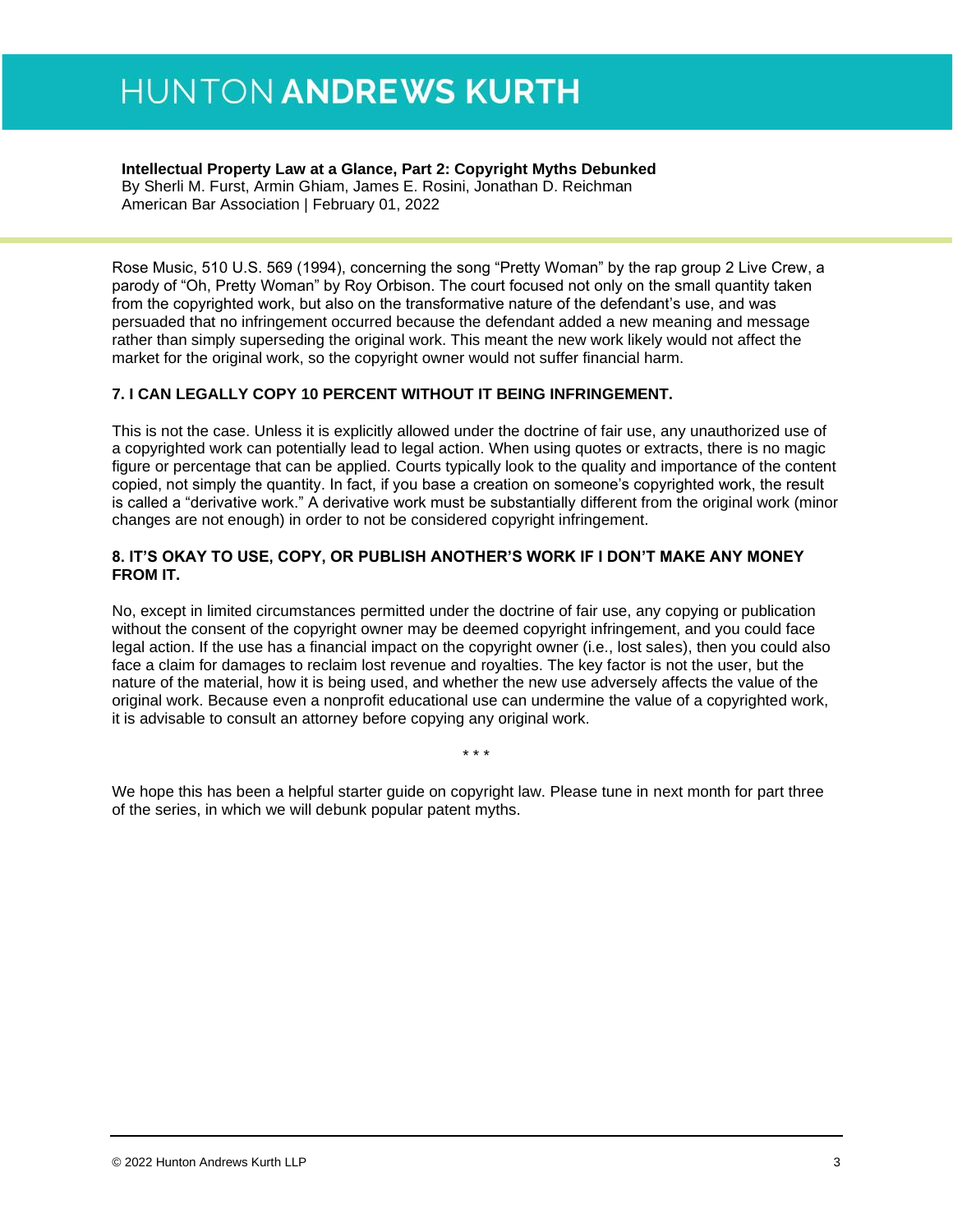#### **Intellectual Property Law at a Glance, Part 2: Copyright Myths Debunked**

By Sherli M. Furst, Armin Ghiam, James E. Rosini, Jonathan D. Reichman American Bar Association | February 01, 2022

Rose Music, 510 U.S. 569 (1994), concerning the song "Pretty Woman" by the rap group 2 Live Crew, a parody of "Oh, Pretty Woman" by Roy Orbison. The court focused not only on the small quantity taken from the copyrighted work, but also on the transformative nature of the defendant's use, and was persuaded that no infringement occurred because the defendant added a new meaning and message rather than simply superseding the original work. This meant the new work likely would not affect the market for the original work, so the copyright owner would not suffer financial harm.

#### **7. I CAN LEGALLY COPY 10 PERCENT WITHOUT IT BEING INFRINGEMENT.**

This is not the case. Unless it is explicitly allowed under the doctrine of fair use, any unauthorized use of a copyrighted work can potentially lead to legal action. When using quotes or extracts, there is no magic figure or percentage that can be applied. Courts typically look to the quality and importance of the content copied, not simply the quantity. In fact, if you base a creation on someone's copyrighted work, the result is called a "derivative work." A derivative work must be substantially different from the original work (minor changes are not enough) in order to not be considered copyright infringement.

#### **8. IT'S OKAY TO USE, COPY, OR PUBLISH ANOTHER'S WORK IF I DON'T MAKE ANY MONEY FROM IT.**

No, except in limited circumstances permitted under the doctrine of fair use, any copying or publication without the consent of the copyright owner may be deemed copyright infringement, and you could face legal action. If the use has a financial impact on the copyright owner (i.e., lost sales), then you could also face a claim for damages to reclaim lost revenue and royalties. The key factor is not the user, but the nature of the material, how it is being used, and whether the new use adversely affects the value of the original work. Because even a nonprofit educational use can undermine the value of a copyrighted work, it is advisable to consult an attorney before copying any original work.

We hope this has been a helpful starter guide on copyright law. Please tune in next month for part three of the series, in which we will debunk popular patent myths.

\* \* \*